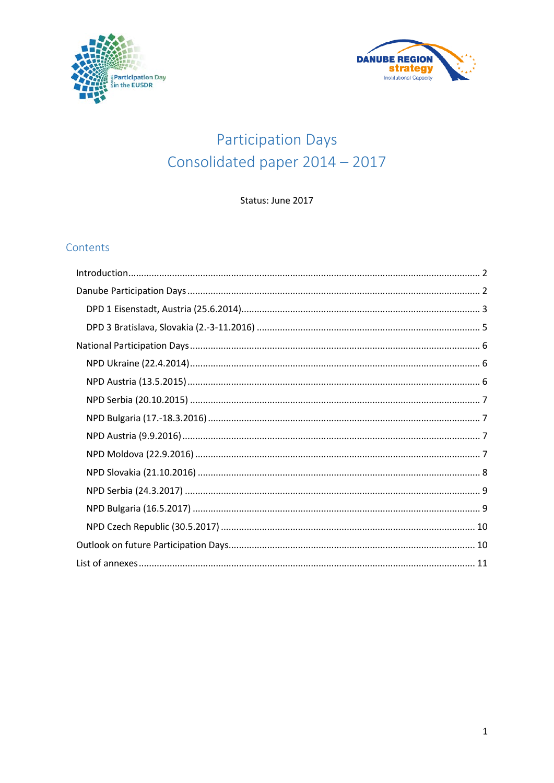



# **Participation Days** Consolidated paper 2014 - 2017

Status: June 2017

## Contents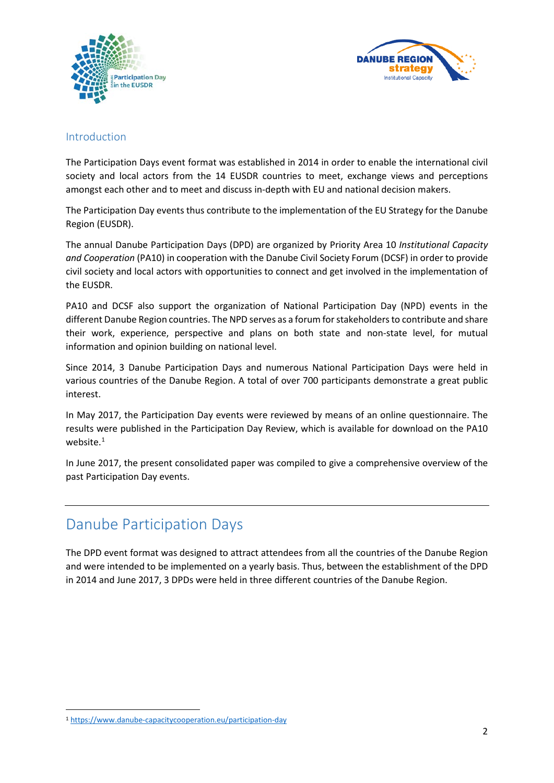



### <span id="page-1-0"></span>Introduction

The Participation Days event format was established in 2014 in order to enable the international civil society and local actors from the 14 EUSDR countries to meet, exchange views and perceptions amongst each other and to meet and discuss in-depth with EU and national decision makers.

The Participation Day events thus contribute to the implementation of the EU Strategy for the Danube Region (EUSDR).

The annual Danube Participation Days (DPD) are organized by Priority Area 10 *Institutional Capacity and Cooperation* (PA10) in cooperation with the Danube Civil Society Forum (DCSF) in order to provide civil society and local actors with opportunities to connect and get involved in the implementation of the EUSDR.

PA10 and DCSF also support the organization of National Participation Day (NPD) events in the different Danube Region countries. The NPD serves as a forum for stakeholders to contribute and share their work, experience, perspective and plans on both state and non-state level, for mutual information and opinion building on national level.

Since 2014, 3 Danube Participation Days and numerous National Participation Days were held in various countries of the Danube Region. A total of over 700 participants demonstrate a great public interest.

In May 2017, the Participation Day events were reviewed by means of an online questionnaire. The results were published in the Participation Day Review, which is available for download on the PA10 website. $^1$  $^1$ 

In June 2017, the present consolidated paper was compiled to give a comprehensive overview of the past Participation Day events.

# <span id="page-1-1"></span>Danube Participation Days

The DPD event format was designed to attract attendees from all the countries of the Danube Region and were intended to be implemented on a yearly basis. Thus, between the establishment of the DPD in 2014 and June 2017, 3 DPDs were held in three different countries of the Danube Region.

<span id="page-1-2"></span> <sup>1</sup> <https://www.danube-capacitycooperation.eu/participation-day>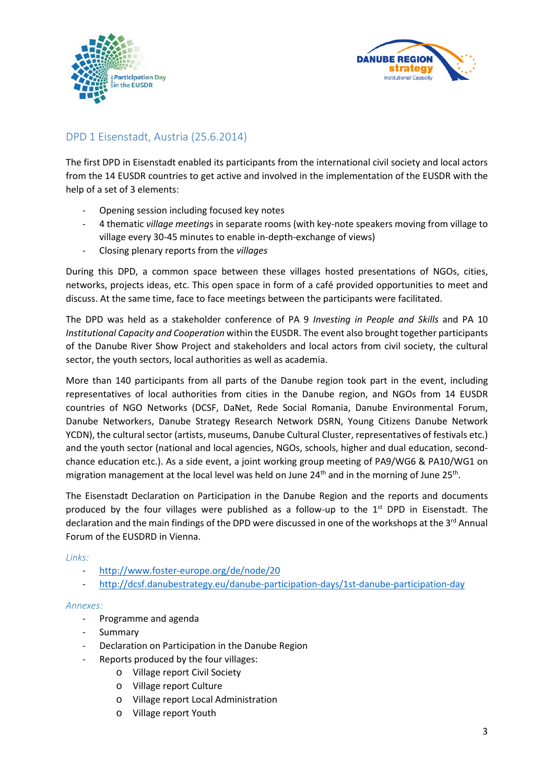



# <span id="page-2-0"></span>DPD 1 Eisenstadt, Austria (25.6.2014)

The first DPD in Eisenstadt enabled its participants from the international civil society and local actors from the 14 EUSDR countries to get active and involved in the implementation of the EUSDR with the help of a set of 3 elements:

- Opening session including focused key notes
- 4 thematic *village meeting*s in separate rooms (with key-note speakers moving from village to village every 30-45 minutes to enable in-depth-exchange of views)
- Closing plenary reports from the *villages*

During this DPD, a common space between these villages hosted presentations of NGOs, cities, networks, projects ideas, etc. This open space in form of a café provided opportunities to meet and discuss. At the same time, face to face meetings between the participants were facilitated.

The DPD was held as a stakeholder conference of PA 9 *Investing in People and Skills* and PA 10 *Institutional Capacity and Cooperation* within the EUSDR. The event also brought together participants of the Danube River Show Project and stakeholders and local actors from civil society, the cultural sector, the youth sectors, local authorities as well as academia.

More than 140 participants from all parts of the Danube region took part in the event, including representatives of local authorities from cities in the Danube region, and NGOs from 14 EUSDR countries of NGO Networks (DCSF, DaNet, Rede Social Romania, Danube Environmental Forum, Danube Networkers, Danube Strategy Research Network DSRN, Young Citizens Danube Network YCDN), the cultural sector (artists, museums, Danube Cultural Cluster, representatives of festivals etc.) and the youth sector (national and local agencies, NGOs, schools, higher and dual education, secondchance education etc.). As a side event, a joint working group meeting of PA9/WG6 & PA10/WG1 on migration management at the local level was held on June  $24<sup>th</sup>$  and in the morning of June  $25<sup>th</sup>$ .

The Eisenstadt Declaration on Participation in the Danube Region and the reports and documents produced by the four villages were published as a follow-up to the  $1<sup>st</sup>$  DPD in Eisenstadt. The declaration and the main findings of the DPD were discussed in one of the workshops at the 3<sup>rd</sup> Annual Forum of the EUSDRD in Vienna.

#### *Links:*

- <http://www.foster-europe.org/de/node/20>
- <http://dcsf.danubestrategy.eu/danube-participation-days/1st-danube-participation-day>

#### *Annexes:*

- Programme and agenda
- Summary
- Declaration on Participation in the Danube Region
- Reports produced by the four villages:
	- o Village report Civil Society
	- o Village report Culture
	- o Village report Local Administration
	- o Village report Youth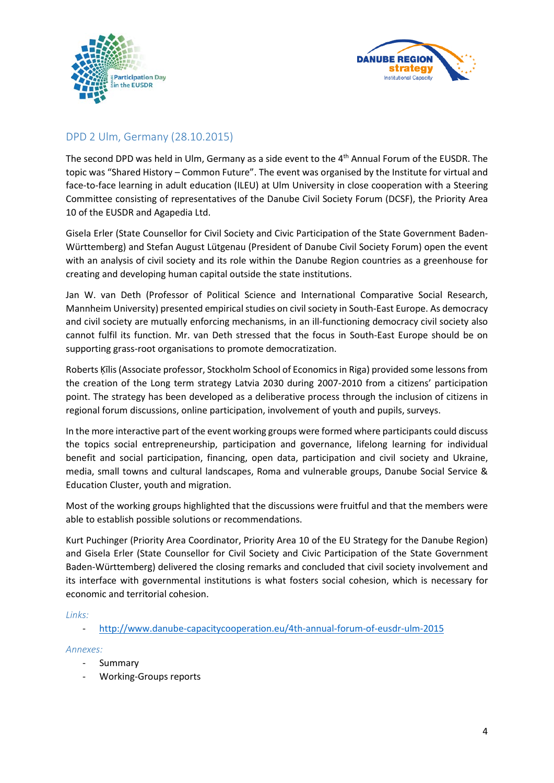



# DPD 2 Ulm, Germany (28.10.2015)

The second DPD was held in Ulm, Germany as a side event to the 4th Annual Forum of the EUSDR. The topic was "Shared History – Common Future". The event was organised by the Institute for virtual and face-to-face learning in adult education (ILEU) at Ulm University in close cooperation with a Steering Committee consisting of representatives of the Danube Civil Society Forum (DCSF), the Priority Area 10 of the EUSDR and Agapedia Ltd.

Gisela Erler (State Counsellor for Civil Society and Civic Participation of the State Government Baden-Württemberg) and Stefan August Lütgenau (President of Danube Civil Society Forum) open the event with an analysis of civil society and its role within the Danube Region countries as a greenhouse for creating and developing human capital outside the state institutions.

Jan W. van Deth (Professor of Political Science and International Comparative Social Research, Mannheim University) presented empirical studies on civil society in South-East Europe. As democracy and civil society are mutually enforcing mechanisms, in an ill-functioning democracy civil society also cannot fulfil its function. Mr. van Deth stressed that the focus in South-East Europe should be on supporting grass-root organisations to promote democratization.

Roberts Ķīlis (Associate professor, Stockholm School of Economics in Riga) provided some lessons from the creation of the Long term strategy Latvia 2030 during 2007-2010 from a citizens' participation point. The strategy has been developed as a deliberative process through the inclusion of citizens in regional forum discussions, online participation, involvement of youth and pupils, surveys.

In the more interactive part of the event working groups were formed where participants could discuss the topics social entrepreneurship, participation and governance, lifelong learning for individual benefit and social participation, financing, open data, participation and civil society and Ukraine, media, small towns and cultural landscapes, Roma and vulnerable groups, Danube Social Service & Education Cluster, youth and migration.

Most of the working groups highlighted that the discussions were fruitful and that the members were able to establish possible solutions or recommendations.

Kurt Puchinger (Priority Area Coordinator, Priority Area 10 of the EU Strategy for the Danube Region) and Gisela Erler (State Counsellor for Civil Society and Civic Participation of the State Government Baden-Württemberg) delivered the closing remarks and concluded that civil society involvement and its interface with governmental institutions is what fosters social cohesion, which is necessary for economic and territorial cohesion.

### *Links:*

- <http://www.danube-capacitycooperation.eu/4th-annual-forum-of-eusdr-ulm-2015>

### *Annexes:*

- Summary
- Working-Groups reports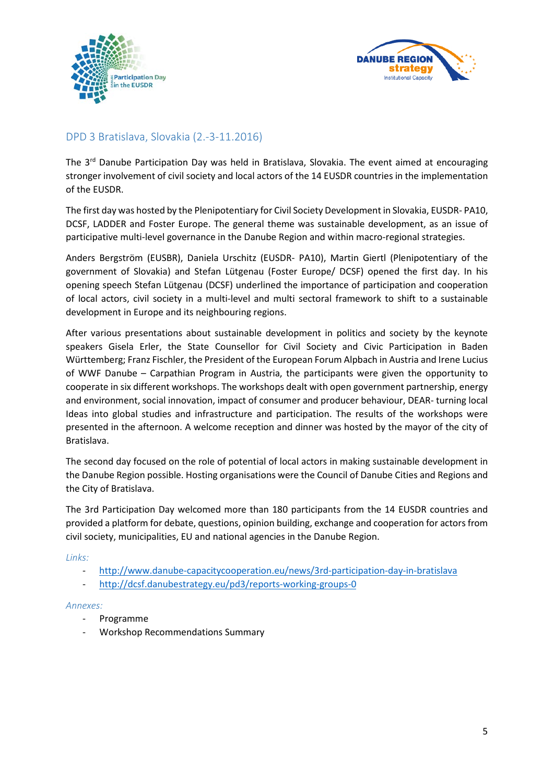



# <span id="page-4-0"></span>DPD 3 Bratislava, Slovakia (2.-3-11.2016)

The 3<sup>rd</sup> Danube Participation Day was held in Bratislava, Slovakia. The event aimed at encouraging stronger involvement of civil society and local actors of the 14 EUSDR countries in the implementation of the EUSDR.

The first day was hosted by the Plenipotentiary for Civil Society Development in Slovakia, EUSDR- PA10, DCSF, LADDER and Foster Europe. The general theme was sustainable development, as an issue of participative multi-level governance in the Danube Region and within macro-regional strategies.

Anders Bergström (EUSBR), Daniela Urschitz (EUSDR- PA10), Martin Giertl (Plenipotentiary of the government of Slovakia) and Stefan Lütgenau (Foster Europe/ DCSF) opened the first day. In his opening speech Stefan Lütgenau (DCSF) underlined the importance of participation and cooperation of local actors, civil society in a multi-level and multi sectoral framework to shift to a sustainable development in Europe and its neighbouring regions.

After various presentations about sustainable development in politics and society by the keynote speakers Gisela Erler, the State Counsellor for Civil Society and Civic Participation in Baden Württemberg; Franz Fischler, the President of the European Forum Alpbach in Austria and Irene Lucius of WWF Danube – Carpathian Program in Austria, the participants were given the opportunity to cooperate in six different workshops. The workshops dealt with open government partnership, energy and environment, social innovation, impact of consumer and producer behaviour, DEAR- turning local Ideas into global studies and infrastructure and participation. The results of the workshops were presented in the afternoon. A welcome reception and dinner was hosted by the mayor of the city of Bratislava.

The second day focused on the role of potential of local actors in making sustainable development in the Danube Region possible. Hosting organisations were the Council of Danube Cities and Regions and the City of Bratislava.

The 3rd Participation Day welcomed more than 180 participants from the 14 EUSDR countries and provided a platform for debate, questions, opinion building, exchange and cooperation for actors from civil society, municipalities, EU and national agencies in the Danube Region.

### *Links:*

- <http://www.danube-capacitycooperation.eu/news/3rd-participation-day-in-bratislava>
- <http://dcsf.danubestrategy.eu/pd3/reports-working-groups-0>

#### *Annexes:*

- Programme
- Workshop Recommendations Summary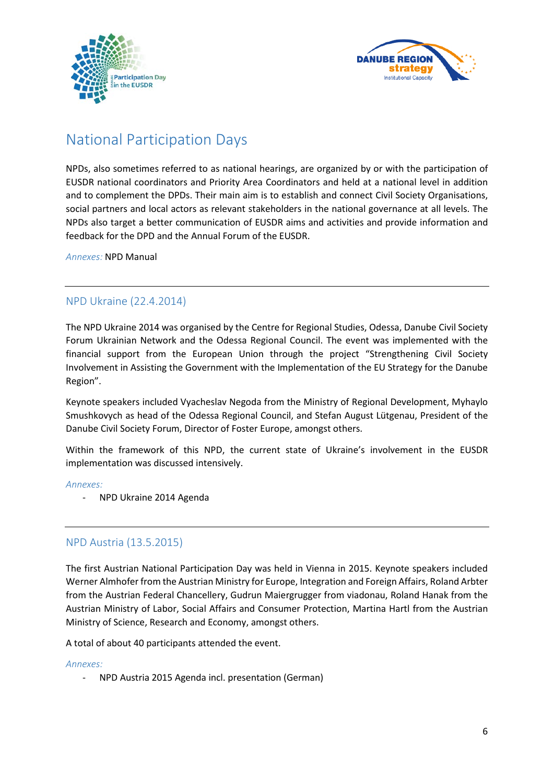



# <span id="page-5-0"></span>National Participation Days

NPDs, also sometimes referred to as national hearings, are organized by or with the participation of EUSDR national coordinators and Priority Area Coordinators and held at a national level in addition and to complement the DPDs. Their main aim is to establish and connect Civil Society Organisations, social partners and local actors as relevant stakeholders in the national governance at all levels. The NPDs also target a better communication of EUSDR aims and activities and provide information and feedback for the DPD and the Annual Forum of the EUSDR.

*Annexes:* NPD Manual

## <span id="page-5-1"></span>NPD Ukraine (22.4.2014)

The NPD Ukraine 2014 was organised by the Centre for Regional Studies, Odessa, Danube Civil Society Forum Ukrainian Network and the Odessa Regional Council. The event was implemented with the financial support from the European Union through the project "Strengthening Civil Society Involvement in Assisting the Government with the Implementation of the EU Strategy for the Danube Region".

Keynote speakers included Vyacheslav Negoda from the Ministry of Regional Development, Myhaylo Smushkovych as head of the Odessa Regional Council, and Stefan August Lütgenau, President of the Danube Civil Society Forum, Director of Foster Europe, amongst others.

Within the framework of this NPD, the current state of Ukraine's involvement in the EUSDR implementation was discussed intensively.

#### *Annexes:*

- NPD Ukraine 2014 Agenda

## <span id="page-5-2"></span>NPD Austria (13.5.2015)

The first Austrian National Participation Day was held in Vienna in 2015. Keynote speakers included Werner Almhofer from the Austrian Ministry for Europe, Integration and Foreign Affairs, Roland Arbter from the Austrian Federal Chancellery, Gudrun Maiergrugger from viadonau, Roland Hanak from the Austrian Ministry of Labor, Social Affairs and Consumer Protection, Martina Hartl from the Austrian Ministry of Science, Research and Economy, amongst others.

A total of about 40 participants attended the event.

#### *Annexes:*

- NPD Austria 2015 Agenda incl. presentation (German)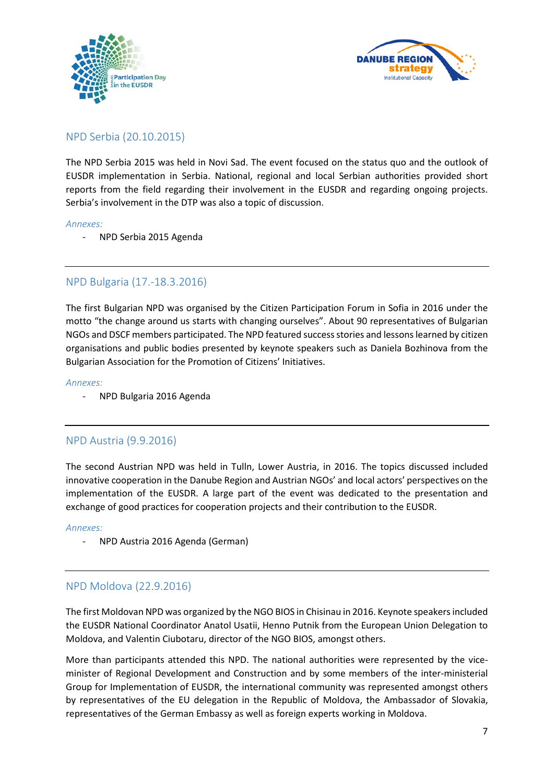



## <span id="page-6-0"></span>NPD Serbia (20.10.2015)

The NPD Serbia 2015 was held in Novi Sad. The event focused on the status quo and the outlook of EUSDR implementation in Serbia. National, regional and local Serbian authorities provided short reports from the field regarding their involvement in the EUSDR and regarding ongoing projects. Serbia's involvement in the DTP was also a topic of discussion.

#### *Annexes:*

- NPD Serbia 2015 Agenda

# <span id="page-6-1"></span>NPD Bulgaria (17.-18.3.2016)

The first Bulgarian NPD was organised by the Citizen Participation Forum in Sofia in 2016 under the motto "the change around us starts with changing ourselves". About 90 representatives of Bulgarian NGOs and DSCF members participated. The NPD featured success stories and lessons learned by citizen organisations and public bodies presented by keynote speakers such as Daniela Bozhinova from the Bulgarian Association for the Promotion of Citizens' Initiatives.

#### *Annexes:*

- NPD Bulgaria 2016 Agenda

## <span id="page-6-2"></span>NPD Austria (9.9.2016)

The second Austrian NPD was held in Tulln, Lower Austria, in 2016. The topics discussed included innovative cooperation in the Danube Region and Austrian NGOs' and local actors' perspectives on the implementation of the EUSDR. A large part of the event was dedicated to the presentation and exchange of good practices for cooperation projects and their contribution to the EUSDR.

*Annexes:*

- NPD Austria 2016 Agenda (German)

## <span id="page-6-3"></span>NPD Moldova (22.9.2016)

The first Moldovan NPD was organized by the NGO BIOS in Chisinau in 2016. Keynote speakers included the EUSDR National Coordinator Anatol Usatii, Henno Putnik from the European Union Delegation to Moldova, and Valentin Ciubotaru, director of the NGO BIOS, amongst others.

More than participants attended this NPD. The national authorities were represented by the viceminister of Regional Development and Construction and by some members of the inter-ministerial Group for Implementation of EUSDR, the international community was represented amongst others by representatives of the EU delegation in the Republic of Moldova, the Ambassador of Slovakia, representatives of the German Embassy as well as foreign experts working in Moldova.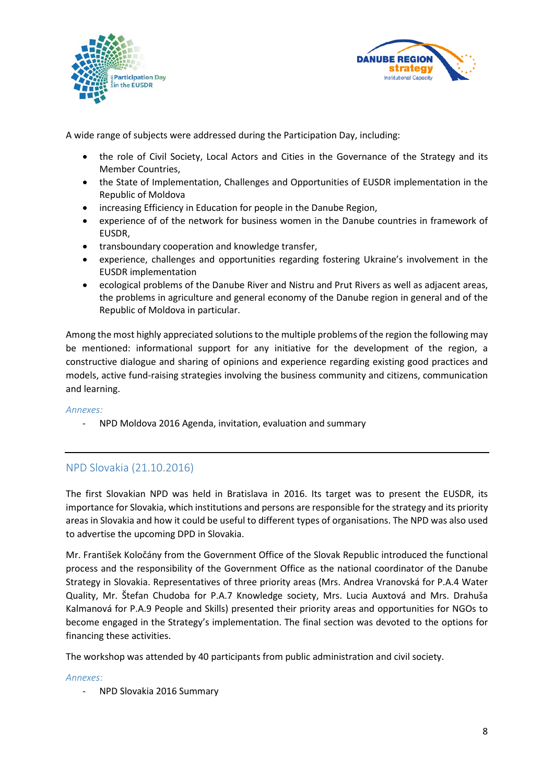



A wide range of subjects were addressed during the Participation Day, including:

- the role of Civil Society, Local Actors and Cities in the Governance of the Strategy and its Member Countries,
- the State of Implementation, Challenges and Opportunities of EUSDR implementation in the Republic of Moldova
- increasing Efficiency in Education for people in the Danube Region,
- experience of of the network for business women in the Danube countries in framework of EUSDR,
- transboundary cooperation and knowledge transfer,
- experience, challenges and opportunities regarding fostering Ukraine's involvement in the EUSDR implementation
- ecological problems of the Danube River and Nistru and Prut Rivers as well as adjacent areas, the problems in agriculture and general economy of the Danube region in general and of the Republic of Moldova in particular.

Among the most highly appreciated solutions to the multiple problems of the region the following may be mentioned: informational support for any initiative for the development of the region, a constructive dialogue and sharing of opinions and experience regarding existing good practices and models, active fund-raising strategies involving the business community and citizens, communication and learning.

*Annexes:*

- NPD Moldova 2016 Agenda, invitation, evaluation and summary

# <span id="page-7-0"></span>NPD Slovakia (21.10.2016)

The first Slovakian NPD was held in Bratislava in 2016. Its target was to present the EUSDR, its importance for Slovakia, which institutions and persons are responsible for the strategy and its priority areas in Slovakia and how it could be useful to different types of organisations. The NPD was also used to advertise the upcoming DPD in Slovakia.

Mr. František Koločány from the Government Office of the Slovak Republic introduced the functional process and the responsibility of the Government Office as the national coordinator of the Danube Strategy in Slovakia. Representatives of three priority areas (Mrs. Andrea Vranovská for P.A.4 Water Quality, Mr. Štefan Chudoba for P.A.7 Knowledge society, Mrs. Lucia Auxtová and Mrs. Drahuša Kalmanová for P.A.9 People and Skills) presented their priority areas and opportunities for NGOs to become engaged in the Strategy's implementation. The final section was devoted to the options for financing these activities.

The workshop was attended by 40 participants from public administration and civil society.

### *Annexes:*

- NPD Slovakia 2016 Summary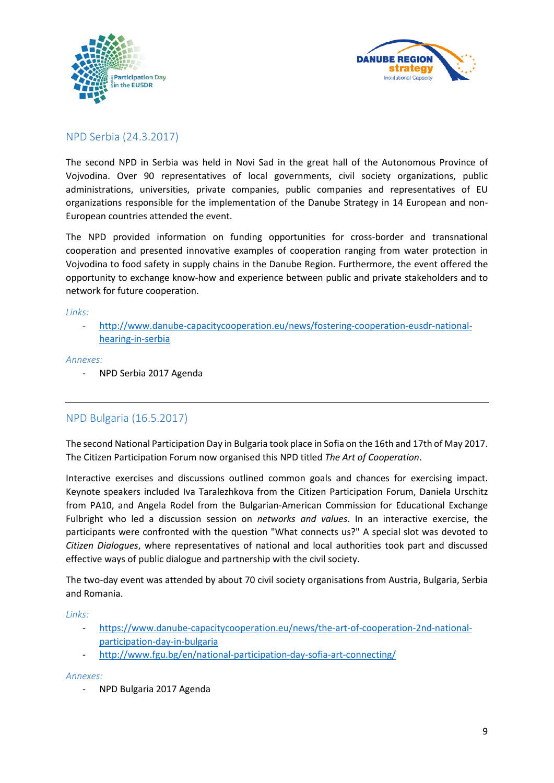



## <span id="page-8-0"></span>NPD Serbia (24.3.2017)

The second NPD in Serbia was held in Novi Sad in the great hall of the Autonomous Province of Vojvodina. Over 90 representatives of local governments, civil society organizations, public administrations, universities, private companies, public companies and representatives of EU organizations responsible for the implementation of the Danube Strategy in 14 European and non-European countries attended the event.

The NPD provided information on funding opportunities for cross-border and transnational cooperation and presented innovative examples of cooperation ranging from water protection in Vojvodina to food safety in supply chains in the Danube Region. Furthermore, the event offered the opportunity to exchange know-how and experience between public and private stakeholders and to network for future cooperation.

*Links:*

- [http://www.danube-capacitycooperation.eu/news/fostering-cooperation-eusdr-national](http://www.danube-capacitycooperation.eu/news/fostering-cooperation-eusdr-national-hearing-in-serbia)[hearing-in-serbia](http://www.danube-capacitycooperation.eu/news/fostering-cooperation-eusdr-national-hearing-in-serbia)

*Annexes:*

- NPD Serbia 2017 Agenda

# <span id="page-8-1"></span>NPD Bulgaria (16.5.2017)

The second National Participation Day in Bulgaria took place in Sofia on the 16th and 17th of May 2017. The Citizen Participation Forum now organised this NPD titled *The Art of Cooperation*.

Interactive exercises and discussions outlined common goals and chances for exercising impact. Keynote speakers included Iva Taralezhkova from the Citizen Participation Forum, Daniela Urschitz from PA10, and Angela Rodel from the Bulgarian-American Commission for Educational Exchange Fulbright who led a discussion session on *networks and values*. In an interactive exercise, the participants were confronted with the question "What connects us?" A special slot was devoted to *Citizen Dialogues*, where representatives of national and local authorities took part and discussed effective ways of public dialogue and partnership with the civil society.

The two-day event was attended by about 70 civil society organisations from Austria, Bulgaria, Serbia and Romania.

*Links:*

- [https://www.danube-capacitycooperation.eu/news/the-art-of-cooperation-2nd-national](https://www.danube-capacitycooperation.eu/news/the-art-of-cooperation-2nd-national-participation-day-in-bulgaria)[participation-day-in-bulgaria](https://www.danube-capacitycooperation.eu/news/the-art-of-cooperation-2nd-national-participation-day-in-bulgaria)
- <http://www.fgu.bg/en/national-participation-day-sofia-art-connecting/>

#### *Annexes:*

- NPD Bulgaria 2017 Agenda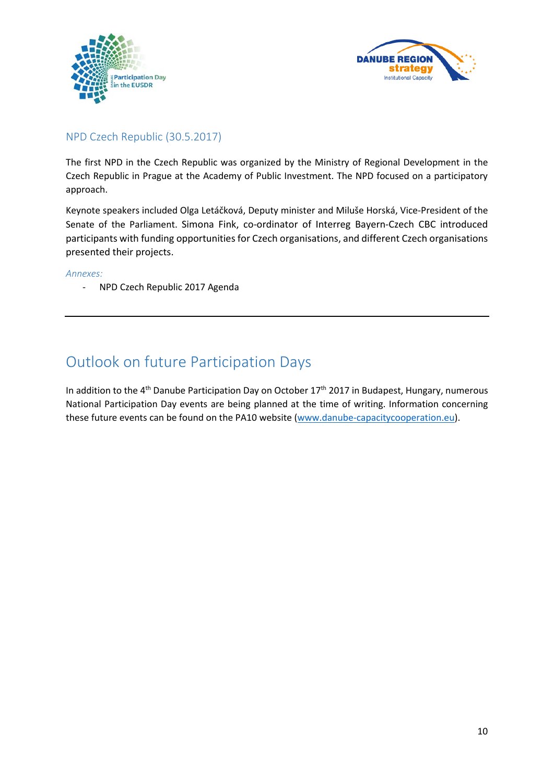



## <span id="page-9-0"></span>NPD Czech Republic (30.5.2017)

The first NPD in the Czech Republic was organized by the Ministry of Regional Development in the Czech Republic in Prague at the Academy of Public Investment. The NPD focused on a participatory approach.

Keynote speakers included Olga Letáčková, Deputy minister and Miluše Horská, Vice-President of the Senate of the Parliament. Simona Fink, co-ordinator of Interreg Bayern-Czech CBC introduced participants with funding opportunities for Czech organisations, and different Czech organisations presented their projects.

#### *Annexes:*

- NPD Czech Republic 2017 Agenda

# <span id="page-9-1"></span>Outlook on future Participation Days

In addition to the 4<sup>th</sup> Danube Participation Day on October 17<sup>th</sup> 2017 in Budapest, Hungary, numerous National Participation Day events are being planned at the time of writing. Information concerning these future events can be found on the PA10 website [\(www.danube-capacitycooperation.eu\)](http://www.danube-capacitycooperation.eu/).